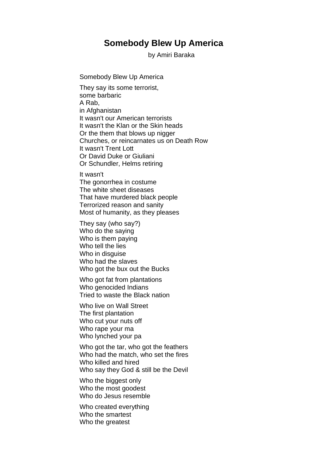## **Somebody Blew Up America**

by Amiri Baraka

Somebody Blew Up America

They say its some terrorist, some barbaric A Rab, in Afghanistan It wasn't our American terrorists It wasn't the Klan or the Skin heads Or the them that blows up nigger Churches, or reincarnates us on Death Row It wasn't Trent Lott Or David Duke or Giuliani Or Schundler, Helms retiring

It wasn't The gonorrhea in costume The white sheet diseases That have murdered black people Terrorized reason and sanity Most of humanity, as they pleases

They say (who say?) Who do the saying Who is them paying Who tell the lies Who in disguise Who had the slaves Who got the bux out the Bucks

Who got fat from plantations Who genocided Indians Tried to waste the Black nation

Who live on Wall Street The first plantation Who cut your nuts off Who rape your ma Who lynched your pa

Who got the tar, who got the feathers Who had the match, who set the fires Who killed and hired Who say they God & still be the Devil

Who the biggest only Who the most goodest Who do Jesus resemble

Who created everything Who the smartest Who the greatest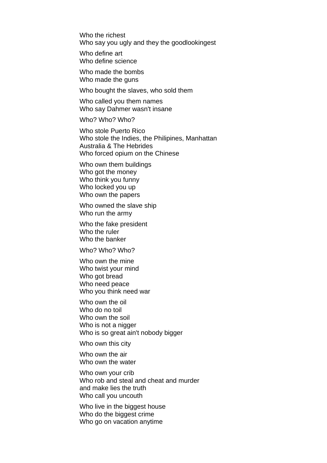Who the richest Who say you ugly and they the goodlookingest

Who define art Who define science

Who made the bombs Who made the guns

Who bought the slaves, who sold them

Who called you them names Who say Dahmer wasn't insane

Who? Who? Who?

Who stole Puerto Rico Who stole the Indies, the Philipines, Manhattan Australia & The Hebrides Who forced opium on the Chinese

Who own them buildings Who got the money Who think you funny Who locked you up Who own the papers

Who owned the slave ship Who run the army

Who the fake president Who the ruler Who the banker

Who? Who? Who?

Who own the mine Who twist your mind Who got bread Who need peace Who you think need war

Who own the oil Who do no toil Who own the soil Who is not a nigger Who is so great ain't nobody bigger

Who own this city

Who own the air Who own the water

Who own your crib Who rob and steal and cheat and murder and make lies the truth Who call you uncouth

Who live in the biggest house Who do the biggest crime Who go on vacation anytime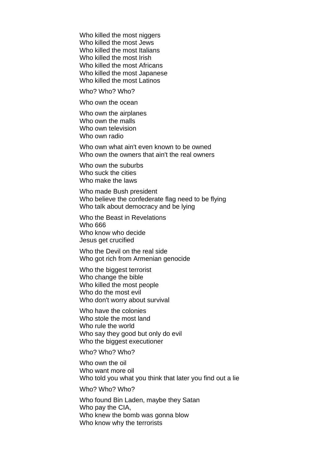Who killed the most niggers Who killed the most Jews Who killed the most Italians Who killed the most Irish Who killed the most Africans Who killed the most Japanese Who killed the most Latinos

Who? Who? Who?

Who own the ocean

Who own the airplanes Who own the malls Who own television Who own radio

Who own what ain't even known to be owned Who own the owners that ain't the real owners

Who own the suburbs Who suck the cities Who make the laws

Who made Bush president Who believe the confederate flag need to be flying Who talk about democracy and be lying

Who the Beast in Revelations Who 666 Who know who decide Jesus get crucified

Who the Devil on the real side Who got rich from Armenian genocide

Who the biggest terrorist Who change the bible Who killed the most people Who do the most evil Who don't worry about survival

Who have the colonies Who stole the most land Who rule the world Who say they good but only do evil Who the biggest executioner

Who? Who? Who?

Who own the oil Who want more oil Who told you what you think that later you find out a lie

Who? Who? Who?

Who found Bin Laden, maybe they Satan Who pay the CIA, Who knew the bomb was gonna blow Who know why the terrorists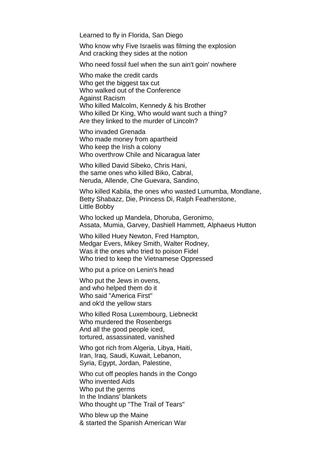Learned to fly in Florida, San Diego

Who know why Five Israelis was filming the explosion And cracking they sides at the notion

Who need fossil fuel when the sun ain't goin' nowhere

Who make the credit cards Who get the biggest tax cut Who walked out of the Conference Against Racism Who killed Malcolm, Kennedy & his Brother Who killed Dr King, Who would want such a thing? Are they linked to the murder of Lincoln?

Who invaded Grenada Who made money from apartheid Who keep the Irish a colony Who overthrow Chile and Nicaragua later

Who killed David Sibeko, Chris Hani, the same ones who killed Biko, Cabral, Neruda, Allende, Che Guevara, Sandino,

Who killed Kabila, the ones who wasted Lumumba, Mondlane, Betty Shabazz, Die, Princess Di, Ralph Featherstone, Little Bobby

Who locked up Mandela, Dhoruba, Geronimo, Assata, Mumia, Garvey, Dashiell Hammett, Alphaeus Hutton

Who killed Huey Newton, Fred Hampton, Medgar Evers, Mikey Smith, Walter Rodney, Was it the ones who tried to poison Fidel Who tried to keep the Vietnamese Oppressed

Who put a price on Lenin's head

Who put the Jews in ovens. and who helped them do it Who said "America First" and ok'd the yellow stars

Who killed Rosa Luxembourg, Liebneckt Who murdered the Rosenbergs And all the good people iced, tortured, assassinated, vanished

Who got rich from Algeria, Libya, Haiti, Iran, Iraq, Saudi, Kuwait, Lebanon, Syria, Egypt, Jordan, Palestine,

Who cut off peoples hands in the Congo Who invented Aids Who put the germs In the Indians' blankets Who thought up "The Trail of Tears"

Who blew up the Maine & started the Spanish American War